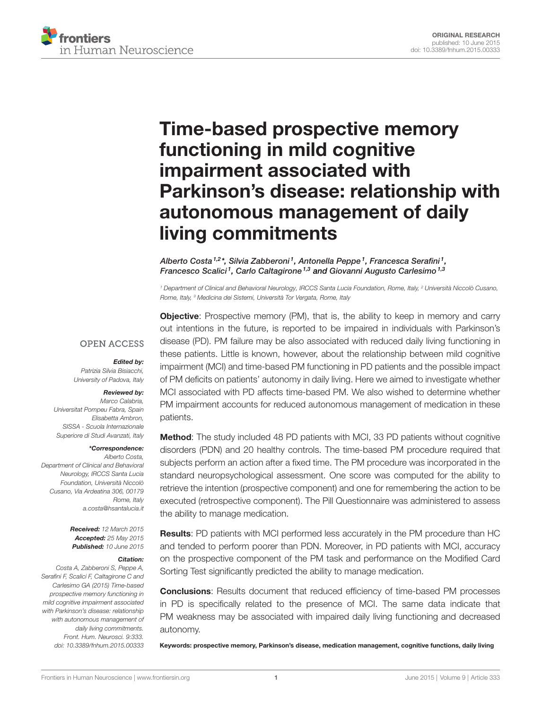

# [Time-based prospective memory](http://journal.frontiersin.org/article/10.3389/fnhum.2015.00333/abstract) [functioning in mild cognitive](http://journal.frontiersin.org/article/10.3389/fnhum.2015.00333/abstract) [impairment associated with](http://journal.frontiersin.org/article/10.3389/fnhum.2015.00333/abstract) [Parkinson's disease: relationship with](http://journal.frontiersin.org/article/10.3389/fnhum.2015.00333/abstract) [autonomous management of daily](http://journal.frontiersin.org/article/10.3389/fnhum.2015.00333/abstract) [living commitments](http://journal.frontiersin.org/article/10.3389/fnhum.2015.00333/abstract)

[Alberto Costa](http://community.frontiersin.org/people/u/173298) <sup>1,2</sup>\*, [Silvia Zabberoni](http://community.frontiersin.org/people/u/230625) <sup>1</sup>, [Antonella Peppe](http://community.frontiersin.org/people/u/242108) <sup>1</sup>, Francesca Serafini <sup>1</sup>, [Francesco Scalici](http://community.frontiersin.org/people/u/241860)<sup>1</sup>, [Carlo Caltagirone](http://community.frontiersin.org/people/u/113537)<sup>1,3</sup> and [Giovanni Augusto Carlesimo](http://community.frontiersin.org/people/u/206099)<sup>1,3</sup>

<sup>1</sup> Department of Clinical and Behavioral Neurology, IRCCS Santa Lucia Foundation, Rome, Italy, <sup>2</sup> Università Niccolò Cusano, Rome, Italy, <sup>3</sup> Medicina dei Sistemi, Università Tor Vergata, Rome, Italy

#### **OPEN ACCESS**

#### Edited by:

Patrizia Silvia Bisiacchi, University of Padova, Italy

#### Reviewed by:

Marco Calabria, Universitat Pompeu Fabra, Spain Elisabetta Ambron, SISSA - Scuola Internazionale Superiore di Studi Avanzati, Italy

#### \*Correspondence:

Alberto Costa, Department of Clinical and Behavioral Neurology, IRCCS Santa Lucia Foundation, Università Niccolò Cusano, Via Ardeatina 306, 00179 Rome, Italy [a.costa@hsantalucia.it](mailto:a.costa@hsantalucia.it)

> Received: 12 March 2015 Accepted: 25 May 2015 Published: 10 June 2015

#### Citation:

Costa A, Zabberoni S, Peppe A, Serafini F, Scalici F, Caltagirone C and Carlesimo GA (2015) Time-based prospective memory functioning in mild cognitive impairment associated with Parkinson's disease: relationship with autonomous management of daily living commitments. Front. Hum. Neurosci. 9:333. [doi: 10.3389/fnhum.2015.00333](http://dx.doi.org/10.3389/fnhum.2015.00333) **Objective:** Prospective memory (PM), that is, the ability to keep in memory and carry out intentions in the future, is reported to be impaired in individuals with Parkinson's disease (PD). PM failure may be also associated with reduced daily living functioning in these patients. Little is known, however, about the relationship between mild cognitive impairment (MCI) and time-based PM functioning in PD patients and the possible impact of PM deficits on patients' autonomy in daily living. Here we aimed to investigate whether MCI associated with PD affects time-based PM. We also wished to determine whether PM impairment accounts for reduced autonomous management of medication in these patients.

Method: The study included 48 PD patients with MCI, 33 PD patients without cognitive disorders (PDN) and 20 healthy controls. The time-based PM procedure required that subjects perform an action after a fixed time. The PM procedure was incorporated in the standard neuropsychological assessment. One score was computed for the ability to retrieve the intention (prospective component) and one for remembering the action to be executed (retrospective component). The Pill Questionnaire was administered to assess the ability to manage medication.

Results: PD patients with MCI performed less accurately in the PM procedure than HC and tended to perform poorer than PDN. Moreover, in PD patients with MCI, accuracy on the prospective component of the PM task and performance on the Modified Card Sorting Test significantly predicted the ability to manage medication.

Conclusions: Results document that reduced efficiency of time-based PM processes in PD is specifically related to the presence of MCI. The same data indicate that PM weakness may be associated with impaired daily living functioning and decreased autonomy.

Keywords: prospective memory, Parkinson's disease, medication management, cognitive functions, daily living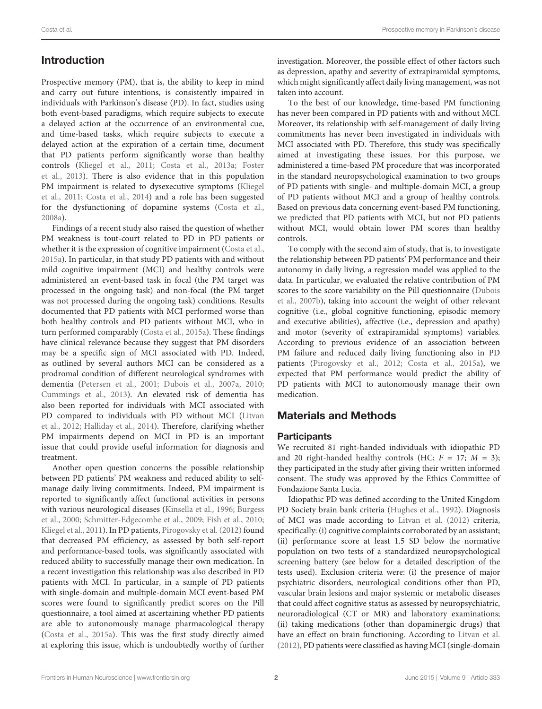# Introduction

Prospective memory (PM), that is, the ability to keep in mind and carry out future intentions, is consistently impaired in individuals with Parkinson's disease (PD). In fact, studies using both event-based paradigms, which require subjects to execute a delayed action at the occurrence of an environmental cue, and time-based tasks, which require subjects to execute a delayed action at the expiration of a certain time, document that PD patients perform significantly worse than healthy controls [\(Kliegel et al.,](#page-8-0) [2011;](#page-8-0) [Costa et al.,](#page-8-1) [2013a;](#page-8-1) [Foster](#page-8-2) [et al.,](#page-8-2) [2013\)](#page-8-2). There is also evidence that in this population PM impairment is related to dysexecutive symptoms [\(Kliegel](#page-8-0) [et al.,](#page-8-0) [2011;](#page-8-0) [Costa et al.,](#page-8-3) [2014\)](#page-8-3) and a role has been suggested for the dysfunctioning of dopamine systems [\(Costa et al.,](#page-8-4) [2008a\)](#page-8-4).

Findings of a recent study also raised the question of whether PM weakness is tout-court related to PD in PD patients or whether it is the expression of cognitive impairment [\(Costa et al.,](#page-8-5) [2015a\)](#page-8-5). In particular, in that study PD patients with and without mild cognitive impairment (MCI) and healthy controls were administered an event-based task in focal (the PM target was processed in the ongoing task) and non-focal (the PM target was not processed during the ongoing task) conditions. Results documented that PD patients with MCI performed worse than both healthy controls and PD patients without MCI, who in turn performed comparably [\(Costa et al.,](#page-8-5) [2015a\)](#page-8-5). These findings have clinical relevance because they suggest that PM disorders may be a specific sign of MCI associated with PD. Indeed, as outlined by several authors MCI can be considered as a prodromal condition of different neurological syndromes with dementia [\(Petersen et al.,](#page-9-0) [2001;](#page-9-0) [Dubois et al.,](#page-8-6) [2007a,](#page-8-6) [2010;](#page-8-7) [Cummings et al.,](#page-8-8) [2013\)](#page-8-8). An elevated risk of dementia has also been reported for individuals with MCI associated with PD compared to individuals with PD without MCI [\(Litvan](#page-8-9) [et al.,](#page-8-9) [2012;](#page-8-9) [Halliday et al.,](#page-8-10) [2014\)](#page-8-10). Therefore, clarifying whether PM impairments depend on MCI in PD is an important issue that could provide useful information for diagnosis and treatment.

Another open question concerns the possible relationship between PD patients' PM weakness and reduced ability to selfmanage daily living commitments. Indeed, PM impairment is reported to significantly affect functional activities in persons with various neurological diseases [\(Kinsella et al.,](#page-8-11) [1996;](#page-8-11) [Burgess](#page-7-0) [et al.,](#page-7-0) [2000;](#page-7-0) [Schmitter-Edgecombe et al.,](#page-9-1) [2009;](#page-9-1) [Fish et al.,](#page-8-12) [2010;](#page-8-12) [Kliegel et al.,](#page-8-0) [2011\)](#page-8-0). In PD patients, [Pirogovsky et al.](#page-9-2) [\(2012\)](#page-9-2) found that decreased PM efficiency, as assessed by both self-report and performance-based tools, was significantly associated with reduced ability to successfully manage their own medication. In a recent investigation this relationship was also described in PD patients with MCI. In particular, in a sample of PD patients with single-domain and multiple-domain MCI event-based PM scores were found to significantly predict scores on the Pill questionnaire, a tool aimed at ascertaining whether PD patients are able to autonomously manage pharmacological therapy [\(Costa et al.,](#page-8-5) [2015a\)](#page-8-5). This was the first study directly aimed at exploring this issue, which is undoubtedly worthy of further investigation. Moreover, the possible effect of other factors such as depression, apathy and severity of extrapiramidal symptoms, which might significantly affect daily living management, was not taken into account.

To the best of our knowledge, time-based PM functioning has never been compared in PD patients with and without MCI. Moreover, its relationship with self-management of daily living commitments has never been investigated in individuals with MCI associated with PD. Therefore, this study was specifically aimed at investigating these issues. For this purpose, we administered a time-based PM procedure that was incorporated in the standard neuropsychological examination to two groups of PD patients with single- and multiple-domain MCI, a group of PD patients without MCI and a group of healthy controls. Based on previous data concerning event-based PM functioning, we predicted that PD patients with MCI, but not PD patients without MCI, would obtain lower PM scores than healthy controls.

To comply with the second aim of study, that is, to investigate the relationship between PD patients' PM performance and their autonomy in daily living, a regression model was applied to the data. In particular, we evaluated the relative contribution of PM scores to the score variability on the Pill questionnaire [\(Dubois](#page-8-13) [et al.,](#page-8-13) [2007b\)](#page-8-13), taking into account the weight of other relevant cognitive (i.e., global cognitive functioning, episodic memory and executive abilities), affective (i.e., depression and apathy) and motor (severity of extrapiramidal symptoms) variables. According to previous evidence of an association between PM failure and reduced daily living functioning also in PD patients [\(Pirogovsky et al.,](#page-9-2) [2012;](#page-9-2) [Costa et al.,](#page-8-5) [2015a\)](#page-8-5), we expected that PM performance would predict the ability of PD patients with MCI to autonomously manage their own medication.

# Materials and Methods

## **Participants**

We recruited 81 right-handed individuals with idiopathic PD and 20 right-handed healthy controls (HC;  $F = 17$ ;  $M = 3$ ); they participated in the study after giving their written informed consent. The study was approved by the Ethics Committee of Fondazione Santa Lucia.

Idiopathic PD was defined according to the United Kingdom PD Society brain bank criteria [\(Hughes et al.,](#page-8-14) [1992\)](#page-8-14). Diagnosis of MCI was made according to [Litvan et al.](#page-8-9) [\(2012\)](#page-8-9) criteria, specifically: (i) cognitive complaints corroborated by an assistant; (ii) performance score at least 1.5 SD below the normative population on two tests of a standardized neuropsychological screening battery (see below for a detailed description of the tests used). Exclusion criteria were: (i) the presence of major psychiatric disorders, neurological conditions other than PD, vascular brain lesions and major systemic or metabolic diseases that could affect cognitive status as assessed by neuropsychiatric, neuroradiological (CT or MR) and laboratory examinations; (ii) taking medications (other than dopaminergic drugs) that have an effect on brain functioning. According to [Litvan et al.](#page-8-9) [\(2012\)](#page-8-9), PD patients were classified as having MCI (single-domain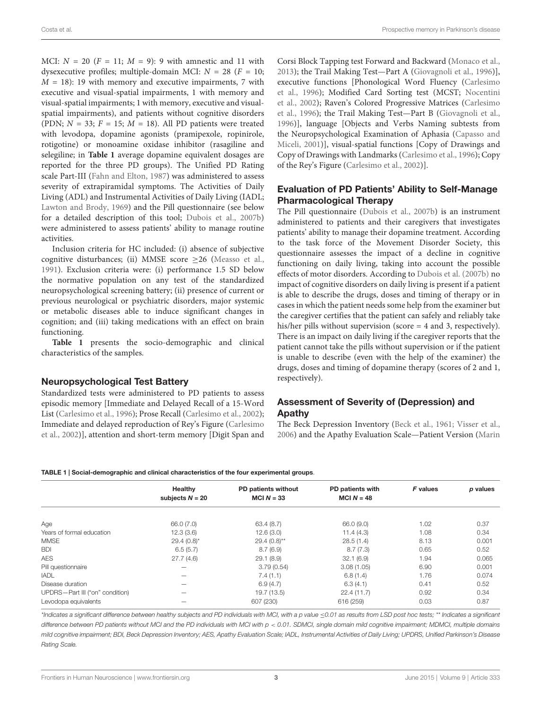MCI:  $N = 20$  ( $F = 11$ ;  $M = 9$ ): 9 with amnestic and 11 with dysexecutive profiles; multiple-domain MCI:  $N = 28$  ( $F = 10$ ;  $M = 18$ ): 19 with memory and executive impairments, 7 with executive and visual-spatial impairments, 1 with memory and visual-spatial impairments; 1 with memory, executive and visualspatial impairments), and patients without cognitive disorders (PDN;  $N = 33$ ;  $F = 15$ ;  $M = 18$ ). All PD patients were treated with levodopa, dopamine agonists (pramipexole, ropinirole, rotigotine) or monoamine oxidase inhibitor (rasagiline and selegiline; in **[Table 1](#page-2-0)** average dopamine equivalent dosages are reported for the three PD groups). The Unified PD Rating scale Part-III [\(Fahn and Elton,](#page-8-15) [1987\)](#page-8-15) was administered to assess severity of extrapiramidal symptoms. The Activities of Daily Living (ADL) and Instrumental Activities of Daily Living (IADL; [Lawton and Brody,](#page-8-16) [1969\)](#page-8-16) and the Pill questionnaire (see below for a detailed description of this tool; [Dubois et al.,](#page-8-13) [2007b\)](#page-8-13) were administered to assess patients' ability to manage routine activities.

Inclusion criteria for HC included: (i) absence of subjective cognitive disturbances; (ii) MMSE score  $\geq$ 26 [\(Measso et al.,](#page-8-17) [1991\)](#page-8-17). Exclusion criteria were: (i) performance 1.5 SD below the normative population on any test of the standardized neuropsychological screening battery; (ii) presence of current or previous neurological or psychiatric disorders, major systemic or metabolic diseases able to induce significant changes in cognition; and (iii) taking medications with an effect on brain functioning.

**[Table 1](#page-2-0)** presents the socio-demographic and clinical characteristics of the samples.

#### Neuropsychological Test Battery

Standardized tests were administered to PD patients to assess episodic memory [Immediate and Delayed Recall of a 15-Word List [\(Carlesimo et al.,](#page-7-1) [1996\)](#page-7-1); Prose Recall [\(Carlesimo et al.,](#page-7-2) [2002\)](#page-7-2); Immediate and delayed reproduction of Rey's Figure [\(Carlesimo](#page-7-2) [et al.,](#page-7-2) [2002\)](#page-7-2)], attention and short-term memory [Digit Span and Corsi Block Tapping test Forward and Backward [\(Monaco et al.,](#page-8-18) [2013\)](#page-8-18); the Trail Making Test—Part A [\(Giovagnoli et al.,](#page-8-19) [1996\)](#page-8-19)], executive functions [Phonological Word Fluency [\(Carlesimo](#page-7-1) [et al.,](#page-7-1) [1996\)](#page-7-1); Modified Card Sorting test (MCST; [Nocentini](#page-8-20) [et al.,](#page-8-20) [2002\)](#page-8-20); Raven's Colored Progressive Matrices [\(Carlesimo](#page-7-1) [et al.,](#page-7-1) [1996\)](#page-7-1); the Trail Making Test—Part B [\(Giovagnoli et al.,](#page-8-19) [1996\)](#page-8-19)], language [Objects and Verbs Naming subtests from the Neuropsychological Examination of Aphasia [\(Capasso and](#page-7-3) [Miceli,](#page-7-3) [2001\)](#page-7-3)], visual-spatial functions [Copy of Drawings and Copy of Drawings with Landmarks [\(Carlesimo et al.,](#page-7-1) [1996\)](#page-7-1); Copy of the Rey's Figure [\(Carlesimo et al.,](#page-7-2) [2002\)](#page-7-2)].

## Evaluation of PD Patients' Ability to Self-Manage Pharmacological Therapy

The Pill questionnaire [\(Dubois et al.,](#page-8-13) [2007b\)](#page-8-13) is an instrument administered to patients and their caregivers that investigates patients' ability to manage their dopamine treatment. According to the task force of the Movement Disorder Society, this questionnaire assesses the impact of a decline in cognitive functioning on daily living, taking into account the possible effects of motor disorders. According to [Dubois et al.](#page-8-13) [\(2007b\)](#page-8-13) no impact of cognitive disorders on daily living is present if a patient is able to describe the drugs, doses and timing of therapy or in cases in which the patient needs some help from the examiner but the caregiver certifies that the patient can safely and reliably take his/her pills without supervision (score = 4 and 3, respectively). There is an impact on daily living if the caregiver reports that the patient cannot take the pills without supervision or if the patient is unable to describe (even with the help of the examiner) the drugs, doses and timing of dopamine therapy (scores of 2 and 1, respectively).

## Assessment of Severity of (Depression) and Apathy

The Beck Depression Inventory [\(Beck et al.,](#page-7-4) [1961;](#page-7-4) [Visser et al.,](#page-9-3) [2006\)](#page-9-3) and the Apathy Evaluation Scale—Patient Version [\(Marin](#page-8-21)

#### <span id="page-2-0"></span>TABLE 1 | Social-demographic and clinical characteristics of the four experimental groups.

|                                 | Healthy           | PD patients without | PD patients with | <b>F</b> values | p values |
|---------------------------------|-------------------|---------------------|------------------|-----------------|----------|
|                                 | subjects $N = 20$ | MCI $N = 33$        | MCI $N = 48$     |                 |          |
|                                 |                   |                     |                  |                 |          |
| Age                             | 66.0 (7.0)        | 63.4(8.7)           | 66.0 (9.0)       | 1.02            | 0.37     |
| Years of formal education       | 12.3(3.6)         | 12.6(3.0)           | 11.4(4.3)        | 1.08            | 0.34     |
| <b>MMSE</b>                     | $29.4(0.8)$ *     | $29.4(0.8)$ **      | 28.5(1.4)        | 8.13            | 0.001    |
| <b>BDI</b>                      | 6.5(5.7)          | 8.7(6.9)            | 8.7(7.3)         | 0.65            | 0.52     |
| <b>AES</b>                      | 27.7(4.6)         | 29.1(8.9)           | 32.1(6.9)        | 1.94            | 0.065    |
| Pill questionnaire              |                   | 3.79(0.54)          | 3.08(1.05)       | 6.90            | 0.001    |
| <b>IADL</b>                     |                   | 7.4(1.1)            | 6.8(1.4)         | 1.76            | 0.074    |
| Disease duration                |                   | 6.9(4.7)            | 6.3(4.1)         | 0.41            | 0.52     |
| UPDRS-Part III ("on" condition) | -                 | 19.7 (13.5)         | 22.4(11.7)       | 0.92            | 0.34     |
| Levodopa equivalents            |                   | 607 (230)           | 616 (259)        | 0.03            | 0.87     |

\*Indicates a significant difference between healthy subjects and PD individuals with MCI, with a p value ≤0.01 as results from LSD post hoc tests; \*\* Indicates a significant difference between PD patients without MCI and the PD individuals with MCI with p < 0.01. SDMCI, single domain mild cognitive impairment; MDMCI, multiple domains mild cognitive impairment; BDI, Beck Depression Inventory; AES, Apathy Evaluation Scale; IADL, Instrumental Activities of Daily Living; UPDRS, Unified Parkinson's Disease Rating Scale.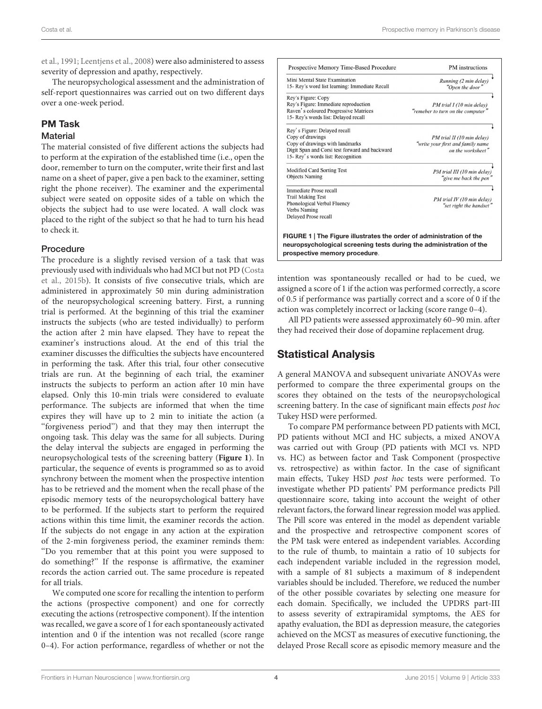[et al.,](#page-8-21) [1991;](#page-8-21) [Leentjens et al.,](#page-8-22) [2008\)](#page-8-22) were also administered to assess severity of depression and apathy, respectively.

The neuropsychological assessment and the administration of self-report questionnaires was carried out on two different days over a one-week period.

### PM Task

#### **Material**

The material consisted of five different actions the subjects had to perform at the expiration of the established time (i.e., open the door, remember to turn on the computer, write their first and last name on a sheet of paper, give a pen back to the examiner, setting right the phone receiver). The examiner and the experimental subject were seated on opposite sides of a table on which the objects the subject had to use were located. A wall clock was placed to the right of the subject so that he had to turn his head to check it.

#### Procedure

The procedure is a slightly revised version of a task that was previously used with individuals who had MCI but not PD [\(Costa](#page-8-23) [et al.,](#page-8-23) [2015b\)](#page-8-23). It consists of five consecutive trials, which are administered in approximately 50 min during administration of the neuropsychological screening battery. First, a running trial is performed. At the beginning of this trial the examiner instructs the subjects (who are tested individually) to perform the action after 2 min have elapsed. They have to repeat the examiner's instructions aloud. At the end of this trial the examiner discusses the difficulties the subjects have encountered in performing the task. After this trial, four other consecutive trials are run. At the beginning of each trial, the examiner instructs the subjects to perform an action after 10 min have elapsed. Only this 10-min trials were considered to evaluate performance. The subjects are informed that when the time expires they will have up to 2 min to initiate the action (a ''forgiveness period'') and that they may then interrupt the ongoing task. This delay was the same for all subjects. During the delay interval the subjects are engaged in performing the neuropsychological tests of the screening battery (**[Figure 1](#page-3-0)**). In particular, the sequence of events is programmed so as to avoid synchrony between the moment when the prospective intention has to be retrieved and the moment when the recall phase of the episodic memory tests of the neuropsychological battery have to be performed. If the subjects start to perform the required actions within this time limit, the examiner records the action. If the subjects do not engage in any action at the expiration of the 2-min forgiveness period, the examiner reminds them: ''Do you remember that at this point you were supposed to do something?'' If the response is affirmative, the examiner records the action carried out. The same procedure is repeated for all trials.

We computed one score for recalling the intention to perform the actions (prospective component) and one for correctly executing the actions (retrospective component). If the intention was recalled, we gave a score of 1 for each spontaneously activated intention and 0 if the intention was not recalled (score range 0–4). For action performance, regardless of whether or not the

| Mini Mental State Examination<br>15- Rey's word list learning: Immediate Recall                                                                                            | Running (2 min delay)<br>"Open the door"                                             |
|----------------------------------------------------------------------------------------------------------------------------------------------------------------------------|--------------------------------------------------------------------------------------|
| Rey's Figure: Copy<br>Rey's Figure: Immediate reproduction<br>Raven's coloured Progressive Matrices<br>15- Rey's words list: Delayed recall                                | PM trial I (10 min delay)<br>"remeber to turn on the computer"                       |
| Rey's Figure: Delayed recall<br>Copy of drawings<br>Copy of drawings with landmarks<br>Digit Span and Corsi test forward and backward<br>15- Rey's words list: Recognition | PM trial II (10 min delay)<br>"write your first and family name<br>on the worksheet" |
| Modified Card Sorting Test<br><b>Objects Naming</b>                                                                                                                        | PM trial III (10 min delay)<br>"give me back the pen"                                |
| Immediate Prose recall<br><b>Trail Making Test</b><br>Phonological Verbal Fluency<br>Verbs Naming<br>Delayed Prose recall                                                  | PM trial IV (10 min delay)<br>"set right the handset"                                |

<span id="page-3-0"></span>intention was spontaneously recalled or had to be cued, we assigned a score of 1 if the action was performed correctly, a score of 0.5 if performance was partially correct and a score of 0 if the action was completely incorrect or lacking (score range 0–4).

All PD patients were assessed approximately 60–90 min. after they had received their dose of dopamine replacement drug.

## Statistical Analysis

A general MANOVA and subsequent univariate ANOVAs were performed to compare the three experimental groups on the scores they obtained on the tests of the neuropsychological screening battery. In the case of significant main effects post hoc Tukey HSD were performed.

To compare PM performance between PD patients with MCI, PD patients without MCI and HC subjects, a mixed ANOVA was carried out with Group (PD patients with MCI vs. NPD vs. HC) as between factor and Task Component (prospective vs. retrospective) as within factor. In the case of significant main effects, Tukey HSD post hoc tests were performed. To investigate whether PD patients' PM performance predicts Pill questionnaire score, taking into account the weight of other relevant factors, the forward linear regression model was applied. The Pill score was entered in the model as dependent variable and the prospective and retrospective component scores of the PM task were entered as independent variables. According to the rule of thumb, to maintain a ratio of 10 subjects for each independent variable included in the regression model, with a sample of 81 subjects a maximum of 8 independent variables should be included. Therefore, we reduced the number of the other possible covariates by selecting one measure for each domain. Specifically, we included the UPDRS part-III to assess severity of extrapiramidal symptoms, the AES for apathy evaluation, the BDI as depression measure, the categories achieved on the MCST as measures of executive functioning, the delayed Prose Recall score as episodic memory measure and the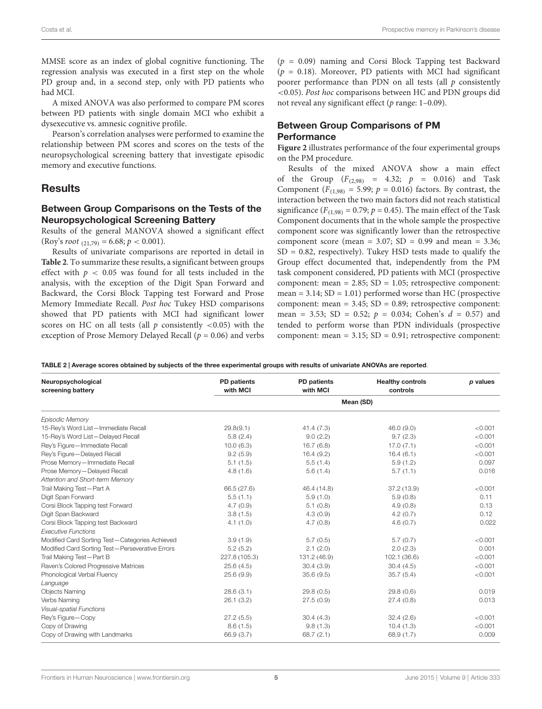MMSE score as an index of global cognitive functioning. The regression analysis was executed in a first step on the whole PD group and, in a second step, only with PD patients who had MCI.

A mixed ANOVA was also performed to compare PM scores between PD patients with single domain MCI who exhibit a dysexecutive vs. amnesic cognitive profile.

Pearson's correlation analyses were performed to examine the relationship between PM scores and scores on the tests of the neuropsychological screening battery that investigate episodic memory and executive functions.

## Results

## Between Group Comparisons on the Tests of the Neuropsychological Screening Battery

Results of the general MANOVA showed a significant effect (Roy's root  $_{(21,79)} = 6.68; p < 0.001$ ).

Results of univariate comparisons are reported in detail in **[Table 2](#page-4-0)**. To summarize these results, a significant between groups effect with  $p < 0.05$  was found for all tests included in the analysis, with the exception of the Digit Span Forward and Backward, the Corsi Block Tapping test Forward and Prose Memory Immediate Recall. Post hoc Tukey HSD comparisons showed that PD patients with MCI had significant lower scores on HC on all tests (all  $p$  consistently <0.05) with the exception of Prose Memory Delayed Recall ( $p = 0.06$ ) and verbs  $(p = 0.09)$  naming and Corsi Block Tapping test Backward  $(p = 0.18)$ . Moreover, PD patients with MCI had significant poorer performance than PDN on all tests (all  $p$  consistently <0.05). Post hoc comparisons between HC and PDN groups did not reveal any significant effect ( $p$  range: 1–0.09).

## Between Group Comparisons of PM **Performance**

**[Figure 2](#page-5-0)** illustrates performance of the four experimental groups on the PM procedure.

Results of the mixed ANOVA show a main effect of the Group  $(F_{(2,98)} = 4.32; p = 0.016)$  and Task Component ( $F_{(1,98)} = 5.99$ ;  $p = 0.016$ ) factors. By contrast, the interaction between the two main factors did not reach statistical significance ( $F_{(1,98)} = 0.79$ ;  $p = 0.45$ ). The main effect of the Task Component documents that in the whole sample the prospective component score was significantly lower than the retrospective component score (mean =  $3.07$ ; SD = 0.99 and mean =  $3.36$ ;  $SD = 0.82$ , respectively). Tukey HSD tests made to qualify the Group effect documented that, independently from the PM task component considered, PD patients with MCI (prospective component: mean =  $2.85$ ; SD =  $1.05$ ; retrospective component: mean =  $3.14$ ; SD =  $1.01$ ) performed worse than HC (prospective component: mean = 3.45; SD = 0.89; retrospective component: mean = 3.53; SD = 0.52;  $p = 0.034$ ; Cohen's  $d = 0.57$ ) and tended to perform worse than PDN individuals (prospective component: mean = 3.15; SD = 0.91; retrospective component:

<span id="page-4-0"></span>TABLE 2 | Average scores obtained by subjects of the three experimental groups with results of univariate ANOVAs are reported.

| Neuropsychological<br>screening battery         | <b>PD</b> patients<br>with MCI | PD patients<br>with MCI | <b>Healthy controls</b><br>controls | p values |  |  |
|-------------------------------------------------|--------------------------------|-------------------------|-------------------------------------|----------|--|--|
|                                                 | Mean (SD)                      |                         |                                     |          |  |  |
| <b>Episodic Memory</b>                          |                                |                         |                                     |          |  |  |
| 15-Rey's Word List-Immediate Recall             | 29.8(9.1)                      | 41.4(7.3)               | 46.0(9.0)                           | < 0.001  |  |  |
| 15-Rey's Word List-Delayed Recall               | 5.8(2.4)                       | 9.0(2.2)                | 9.7(2.3)                            | < 0.001  |  |  |
| Rey's Figure-Immediate Recall                   | 10.0(6.3)                      | 16.7(6.8)               | 17.0(7.1)                           | < 0.001  |  |  |
| Rey's Figure-Delayed Recall                     | 9.2(5.9)                       | 16.4(9.2)               | 16.4(6.1)                           | < 0.001  |  |  |
| Prose Memory-Immediate Recall                   | 5.1(1.5)                       | 5.5(1.4)                | 5.9(1.2)                            | 0.097    |  |  |
| Prose Memory-Delayed Recall                     | 4.8(1.6)                       | 5.6(1.4)                | 5.7(1.1)                            | 0.016    |  |  |
| Attention and Short-term Memory                 |                                |                         |                                     |          |  |  |
| Trail Making Test-Part A                        | 66.5 (27.6)                    | 46.4 (14.8)             | 37.2(13.9)                          | < 0.001  |  |  |
| Digit Span Forward                              | 5.5(1.1)                       | 5.9(1.0)                | 5.9(0.8)                            | 0.11     |  |  |
| Corsi Block Tapping test Forward                | 4.7(0.9)                       | 5.1(0.8)                | 4.9(0.8)                            | 0.13     |  |  |
| Digit Span Backward                             | 3.8(1.5)                       | 4.3(0.9)                | 4.2(0.7)                            | 0.12     |  |  |
| Corsi Block Tapping test Backward               | 4.1(1.0)                       | 4.7(0.8)                | 4.6(0.7)                            | 0.022    |  |  |
| <b>Executive Functions</b>                      |                                |                         |                                     |          |  |  |
| Modified Card Sorting Test-Categories Achieved  | 3.9(1.9)                       | 5.7(0.5)                | 5.7(0.7)                            | < 0.001  |  |  |
| Modified Card Sorting Test-Perseverative Errors | 5.2(5.2)                       | 2.1(2.0)                | 2.0(2.3)                            | 0.001    |  |  |
| Trail Making Test-Part B                        | 227.8 (105.3)                  | 131.2 (46.9)            | 102.1 (36.6)                        | < 0.001  |  |  |
| Raven's Colored Progressive Matrices            | 25.6(4.5)                      | 30.4(3.9)               | 30.4(4.5)                           | < 0.001  |  |  |
| Phonological Verbal Fluency                     | 25.6(9.9)                      | 35.6(9.5)               | 35.7(5.4)                           | < 0.001  |  |  |
| Language                                        |                                |                         |                                     |          |  |  |
| <b>Objects Naming</b>                           | 28.6(3.1)                      | 29.8(0.5)               | 29.8(0.6)                           | 0.019    |  |  |
| Verbs Naming                                    | 26.1(3.2)                      | 27.5(0.9)               | 27.4(0.8)                           | 0.013    |  |  |
| Visual-spatial Functions                        |                                |                         |                                     |          |  |  |
| Rey's Figure-Copy                               | 27.2(5.5)                      | 30.4(4.3)               | 32.4(2.6)                           | < 0.001  |  |  |
| Copy of Drawing                                 | 8.6(1.5)                       | 9.8(1.3)                | 10.4(1.3)                           | < 0.001  |  |  |
| Copy of Drawing with Landmarks                  | 66.9 (3.7)                     | 68.7 $(2.1)$            | 68.9 (1.7)                          | 0.009    |  |  |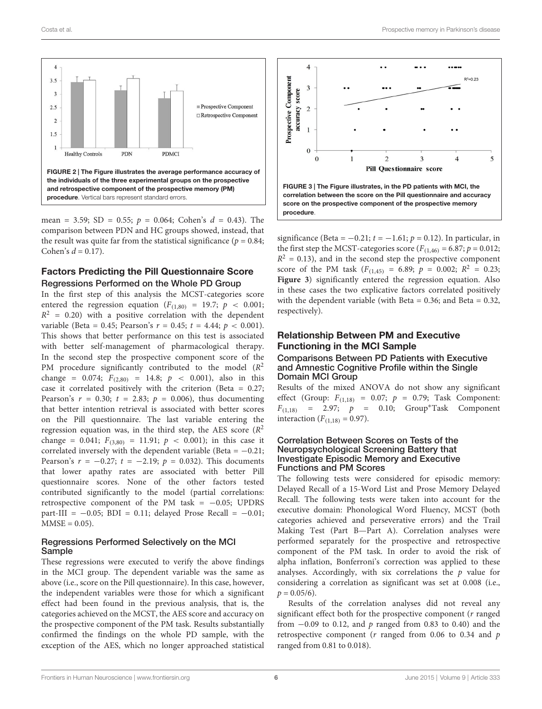

<span id="page-5-0"></span>mean = 3.59; SD = 0.55;  $p = 0.064$ ; Cohen's  $d = 0.43$ ). The comparison between PDN and HC groups showed, instead, that the result was quite far from the statistical significance ( $p = 0.84$ ; Cohen's  $d = 0.17$ ).

## Factors Predicting the Pill Questionnaire Score Regressions Performed on the Whole PD Group

In the first step of this analysis the MCST-categories score entered the regression equation ( $F_{(1,80)} = 19.7; p < 0.001;$  $R^2$  = 0.20) with a positive correlation with the dependent variable (Beta = 0.45; Pearson's  $r = 0.45$ ;  $t = 4.44$ ;  $p < 0.001$ ). This shows that better performance on this test is associated with better self-management of pharmacological therapy. In the second step the prospective component score of the PM procedure significantly contributed to the model  $(R^2)$ change = 0.074;  $F_{(2,80)}$  = 14.8;  $p \lt 0.001$ ), also in this case it correlated positively with the criterion (Beta = 0.27; Pearson's  $r = 0.30$ ;  $t = 2.83$ ;  $p = 0.006$ ), thus documenting that better intention retrieval is associated with better scores on the Pill questionnaire. The last variable entering the regression equation was, in the third step, the AES score  $(R^2)$ change = 0.041;  $F_{(3,80)} = 11.91$ ;  $p < 0.001$ ); in this case it correlated inversely with the dependent variable (Beta =  $-0.21$ ; Pearson's  $r = -0.27$ ;  $t = -2.19$ ;  $p = 0.032$ ). This documents that lower apathy rates are associated with better Pill questionnaire scores. None of the other factors tested contributed significantly to the model (partial correlations: retrospective component of the PM task =  $-0.05$ ; UPDRS part-III =  $-0.05$ ; BDI = 0.11; delayed Prose Recall =  $-0.01$ ;  $MMSE = 0.05$ ).

#### Regressions Performed Selectively on the MCI Sample

These regressions were executed to verify the above findings in the MCI group. The dependent variable was the same as above (i.e., score on the Pill questionnaire). In this case, however, the independent variables were those for which a significant effect had been found in the previous analysis, that is, the categories achieved on the MCST, the AES score and accuracy on the prospective component of the PM task. Results substantially confirmed the findings on the whole PD sample, with the exception of the AES, which no longer approached statistical



<span id="page-5-1"></span>significance (Beta =  $-0.21$ ;  $t = -1.61$ ;  $p = 0.12$ ). In particular, in the first step the MCST-categories score ( $F_{(1,46)} = 6.87$ ;  $p = 0.012$ ;  $R<sup>2</sup> = 0.13$ ), and in the second step the prospective component score of the PM task  $(F_{(1,45)} = 6.89; p = 0.002; R<sup>2</sup> = 0.23;$ **[Figure 3](#page-5-1)**) significantly entered the regression equation. Also in these cases the two explicative factors correlated positively with the dependent variable (with Beta =  $0.36$ ; and Beta =  $0.32$ , respectively).

## Relationship Between PM and Executive Functioning in the MCI Sample

Comparisons Between PD Patients with Executive and Amnestic Cognitive Profile within the Single Domain MCI Group

Results of the mixed ANOVA do not show any significant effect (Group:  $F_{(1,18)} = 0.07; p = 0.79;$  Task Component:  $F_{(1,18)} = 2.97; p = 0.10; Group*Task Component$ interaction  $(F_{(1,18)} = 0.97)$ .

#### Correlation Between Scores on Tests of the Neuropsychological Screening Battery that Investigate Episodic Memory and Executive Functions and PM Scores

The following tests were considered for episodic memory: Delayed Recall of a 15-Word List and Prose Memory Delayed Recall. The following tests were taken into account for the executive domain: Phonological Word Fluency, MCST (both categories achieved and perseverative errors) and the Trail Making Test (Part B—Part A). Correlation analyses were performed separately for the prospective and retrospective component of the PM task. In order to avoid the risk of alpha inflation, Bonferroni's correction was applied to these analyses. Accordingly, with six correlations the  $p$  value for considering a correlation as significant was set at 0.008 (i.e.,  $p = 0.05/6$ .

Results of the correlation analyses did not reveal any significant effect both for the prospective component (*r* ranged from  $-0.09$  to 0.12, and p ranged from 0.83 to 0.40) and the retrospective component ( $r$  ranged from 0.06 to 0.34 and  $p$ ranged from 0.81 to 0.018).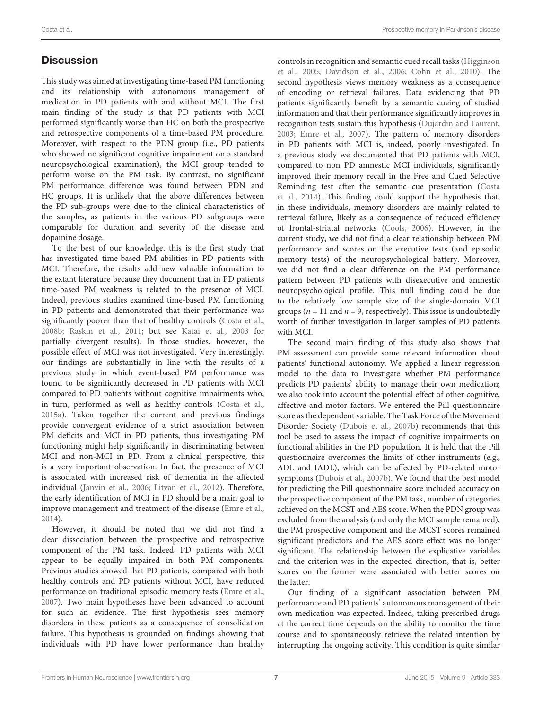# **Discussion**

This study was aimed at investigating time-based PM functioning and its relationship with autonomous management of medication in PD patients with and without MCI. The first main finding of the study is that PD patients with MCI performed significantly worse than HC on both the prospective and retrospective components of a time-based PM procedure. Moreover, with respect to the PDN group (i.e., PD patients who showed no significant cognitive impairment on a standard neuropsychological examination), the MCI group tended to perform worse on the PM task. By contrast, no significant PM performance difference was found between PDN and HC groups. It is unlikely that the above differences between the PD sub-groups were due to the clinical characteristics of the samples, as patients in the various PD subgroups were comparable for duration and severity of the disease and dopamine dosage.

To the best of our knowledge, this is the first study that has investigated time-based PM abilities in PD patients with MCI. Therefore, the results add new valuable information to the extant literature because they document that in PD patients time-based PM weakness is related to the presence of MCI. Indeed, previous studies examined time-based PM functioning in PD patients and demonstrated that their performance was significantly poorer than that of healthy controls [\(Costa et al.,](#page-8-24) [2008b;](#page-8-24) [Raskin et al.,](#page-9-4) [2011;](#page-9-4) but see [Katai et al.,](#page-8-25) [2003](#page-8-25) for partially divergent results). In those studies, however, the possible effect of MCI was not investigated. Very interestingly, our findings are substantially in line with the results of a previous study in which event-based PM performance was found to be significantly decreased in PD patients with MCI compared to PD patients without cognitive impairments who, in turn, performed as well as healthy controls [\(Costa et al.,](#page-8-5) [2015a\)](#page-8-5). Taken together the current and previous findings provide convergent evidence of a strict association between PM deficits and MCI in PD patients, thus investigating PM functioning might help significantly in discriminating between MCI and non-MCI in PD. From a clinical perspective, this is a very important observation. In fact, the presence of MCI is associated with increased risk of dementia in the affected individual [\(Janvin et al.,](#page-8-26) [2006;](#page-8-26) [Litvan et al.,](#page-8-9) [2012\)](#page-8-9). Therefore, the early identification of MCI in PD should be a main goal to improve management and treatment of the disease [\(Emre et al.,](#page-8-27) [2014\)](#page-8-27).

However, it should be noted that we did not find a clear dissociation between the prospective and retrospective component of the PM task. Indeed, PD patients with MCI appear to be equally impaired in both PM components. Previous studies showed that PD patients, compared with both healthy controls and PD patients without MCI, have reduced performance on traditional episodic memory tests [\(Emre et al.,](#page-8-28) [2007\)](#page-8-28). Two main hypotheses have been advanced to account for such an evidence. The first hypothesis sees memory disorders in these patients as a consequence of consolidation failure. This hypothesis is grounded on findings showing that individuals with PD have lower performance than healthy

controls in recognition and semantic cued recall tasks [\(Higginson](#page-8-29) [et al.,](#page-8-29) [2005;](#page-8-29) [Davidson et al.,](#page-8-30) [2006;](#page-8-30) [Cohn et al.,](#page-7-5) [2010\)](#page-7-5). The second hypothesis views memory weakness as a consequence of encoding or retrieval failures. Data evidencing that PD patients significantly benefit by a semantic cueing of studied information and that their performance significantly improves in recognition tests sustain this hypothesis [\(Dujardin and Laurent,](#page-8-31) [2003;](#page-8-31) [Emre et al.,](#page-8-28) [2007\)](#page-8-28). The pattern of memory disorders in PD patients with MCI is, indeed, poorly investigated. In a previous study we documented that PD patients with MCI, compared to non PD amnestic MCI individuals, significantly improved their memory recall in the Free and Cued Selective Reminding test after the semantic cue presentation [\(Costa](#page-8-3) [et al.,](#page-8-3) [2014\)](#page-8-3). This finding could support the hypothesis that, in these individuals, memory disorders are mainly related to retrieval failure, likely as a consequence of reduced efficiency of frontal-striatal networks [\(Cools,](#page-8-32) [2006\)](#page-8-32). However, in the current study, we did not find a clear relationship between PM performance and scores on the executive tests (and episodic memory tests) of the neuropsychological battery. Moreover, we did not find a clear difference on the PM performance pattern between PD patients with disexecutive and amnestic neuropsychological profile. This null finding could be due to the relatively low sample size of the single-domain MCI groups ( $n = 11$  and  $n = 9$ , respectively). This issue is undoubtedly worth of further investigation in larger samples of PD patients with MCI.

The second main finding of this study also shows that PM assessment can provide some relevant information about patients' functional autonomy. We applied a linear regression model to the data to investigate whether PM performance predicts PD patients' ability to manage their own medication; we also took into account the potential effect of other cognitive, affective and motor factors. We entered the Pill questionnaire score as the dependent variable. The Task Force of the Movement Disorder Society [\(Dubois et al.,](#page-8-13) [2007b\)](#page-8-13) recommends that this tool be used to assess the impact of cognitive impairments on functional abilities in the PD population. It is held that the Pill questionnaire overcomes the limits of other instruments (e.g., ADL and IADL), which can be affected by PD-related motor symptoms [\(Dubois et al.,](#page-8-13) [2007b\)](#page-8-13). We found that the best model for predicting the Pill questionnaire score included accuracy on the prospective component of the PM task, number of categories achieved on the MCST and AES score. When the PDN group was excluded from the analysis (and only the MCI sample remained), the PM prospective component and the MCST scores remained significant predictors and the AES score effect was no longer significant. The relationship between the explicative variables and the criterion was in the expected direction, that is, better scores on the former were associated with better scores on the latter.

Our finding of a significant association between PM performance and PD patients' autonomous management of their own medication was expected. Indeed, taking prescribed drugs at the correct time depends on the ability to monitor the time course and to spontaneously retrieve the related intention by interrupting the ongoing activity. This condition is quite similar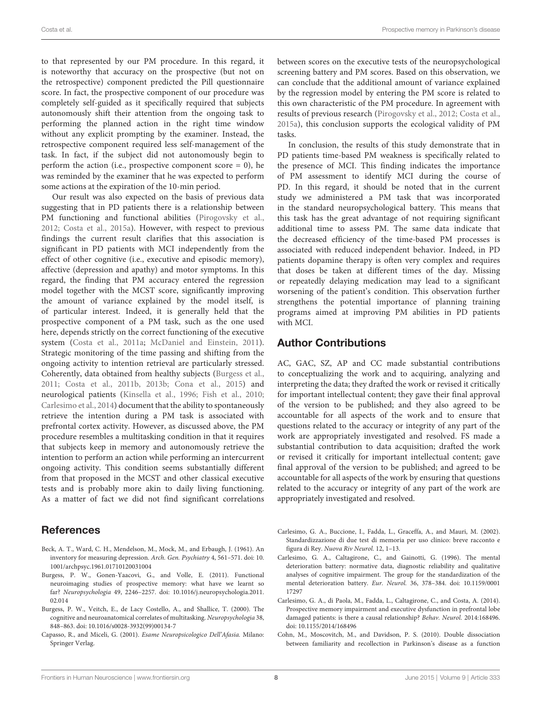to that represented by our PM procedure. In this regard, it is noteworthy that accuracy on the prospective (but not on the retrospective) component predicted the Pill questionnaire score. In fact, the prospective component of our procedure was completely self-guided as it specifically required that subjects autonomously shift their attention from the ongoing task to performing the planned action in the right time window without any explicit prompting by the examiner. Instead, the retrospective component required less self-management of the task. In fact, if the subject did not autonomously begin to perform the action (i.e., prospective component score  $= 0$ ), he was reminded by the examiner that he was expected to perform some actions at the expiration of the 10-min period.

Our result was also expected on the basis of previous data suggesting that in PD patients there is a relationship between PM functioning and functional abilities [\(Pirogovsky et al.,](#page-9-2) [2012;](#page-9-2) [Costa et al.,](#page-8-5) [2015a\)](#page-8-5). However, with respect to previous findings the current result clarifies that this association is significant in PD patients with MCI independently from the effect of other cognitive (i.e., executive and episodic memory), affective (depression and apathy) and motor symptoms. In this regard, the finding that PM accuracy entered the regression model together with the MCST score, significantly improving the amount of variance explained by the model itself, is of particular interest. Indeed, it is generally held that the prospective component of a PM task, such as the one used here, depends strictly on the correct functioning of the executive system [\(Costa et al.,](#page-8-33) [2011a;](#page-8-33) [McDaniel and Einstein,](#page-8-34) [2011\)](#page-8-34). Strategic monitoring of the time passing and shifting from the ongoing activity to intention retrieval are particularly stressed. Coherently, data obtained from healthy subjects [\(Burgess et al.,](#page-7-6) [2011;](#page-7-6) [Costa et al.,](#page-8-35) [2011b,](#page-8-35) [2013b;](#page-8-36) [Cona et al.,](#page-8-37) [2015\)](#page-8-37) and neurological patients [\(Kinsella et al.,](#page-8-11) [1996;](#page-8-11) [Fish et al.,](#page-8-12) [2010;](#page-8-12) [Carlesimo et al.,](#page-7-7) [2014\)](#page-7-7) document that the ability to spontaneously retrieve the intention during a PM task is associated with prefrontal cortex activity. However, as discussed above, the PM procedure resembles a multitasking condition in that it requires that subjects keep in memory and autonomously retrieve the intention to perform an action while performing an intercurrent ongoing activity. This condition seems substantially different from that proposed in the MCST and other classical executive tests and is probably more akin to daily living functioning. As a matter of fact we did not find significant correlations

## **References**

- <span id="page-7-4"></span>Beck, A. T., Ward, C. H., Mendelson, M., Mock, M., and Erbaugh, J. (1961). An inventory for measuring depression. Arch. Gen. Psychiatry 4, 561–571. doi: 10. 1001/archpsyc.1961.01710120031004
- <span id="page-7-6"></span>Burgess, P. W., Gonen-Yaacovi, G., and Volle, E. (2011). Functional neuroimaging studies of prospective memory: what have we learnt so far? Neuropsychologia 49, 2246–2257. doi: 10.1016/j.neuropsychologia.2011. 02.014
- <span id="page-7-0"></span>Burgess, P. W., Veitch, E., de Lacy Costello, A., and Shallice, T. (2000). The cognitive and neuroanatomical correlates of multitasking. Neuropsychologia 38, 848–863. doi: 10.1016/s0028-3932(99)00134-7
- <span id="page-7-3"></span>Capasso, R., and Miceli, G. (2001). Esame Neuropsicologico Dell'Afasia. Milano: Springer Verlag.

between scores on the executive tests of the neuropsychological screening battery and PM scores. Based on this observation, we can conclude that the additional amount of variance explained by the regression model by entering the PM score is related to this own characteristic of the PM procedure. In agreement with results of previous research [\(Pirogovsky et al.,](#page-9-2) [2012;](#page-9-2) [Costa et al.,](#page-8-5) [2015a\)](#page-8-5), this conclusion supports the ecological validity of PM tasks.

In conclusion, the results of this study demonstrate that in PD patients time-based PM weakness is specifically related to the presence of MCI. This finding indicates the importance of PM assessment to identify MCI during the course of PD. In this regard, it should be noted that in the current study we administered a PM task that was incorporated in the standard neuropsychological battery. This means that this task has the great advantage of not requiring significant additional time to assess PM. The same data indicate that the decreased efficiency of the time-based PM processes is associated with reduced independent behavior. Indeed, in PD patients dopamine therapy is often very complex and requires that doses be taken at different times of the day. Missing or repeatedly delaying medication may lead to a significant worsening of the patient's condition. This observation further strengthens the potential importance of planning training programs aimed at improving PM abilities in PD patients with MCI.

## Author Contributions

AC, GAC, SZ, AP and CC made substantial contributions to conceptualizing the work and to acquiring, analyzing and interpreting the data; they drafted the work or revised it critically for important intellectual content; they gave their final approval of the version to be published; and they also agreed to be accountable for all aspects of the work and to ensure that questions related to the accuracy or integrity of any part of the work are appropriately investigated and resolved. FS made a substantial contribution to data acquisition; drafted the work or revised it critically for important intellectual content; gave final approval of the version to be published; and agreed to be accountable for all aspects of the work by ensuring that questions related to the accuracy or integrity of any part of the work are appropriately investigated and resolved.

- <span id="page-7-2"></span>Carlesimo, G. A., Buccione, I., Fadda, L., Graceffa, A., and Mauri, M. (2002). Standardizzazione di due test di memoria per uso clinico: breve racconto e figura di Rey. Nuova Riv Neurol. 12, 1–13.
- <span id="page-7-1"></span>Carlesimo, G. A., Caltagirone, C., and Gainotti, G. (1996). The mental deterioration battery: normative data, diagnostic reliability and qualitative analyses of cognitive impairment. The group for the standardization of the mental deterioration battery. Eur. Neurol. 36, 378–384. doi: 10.1159/0001 17297
- <span id="page-7-7"></span>Carlesimo, G. A., di Paola, M., Fadda, L., Caltagirone, C., and Costa, A. (2014). Prospective memory impairment and executive dysfunction in prefrontal lobe damaged patients: is there a causal relationship? Behav. Neurol. 2014:168496. doi: 10.1155/2014/168496
- <span id="page-7-5"></span>Cohn, M., Moscovitch, M., and Davidson, P. S. (2010). Double dissociation between familiarity and recollection in Parkinson's disease as a function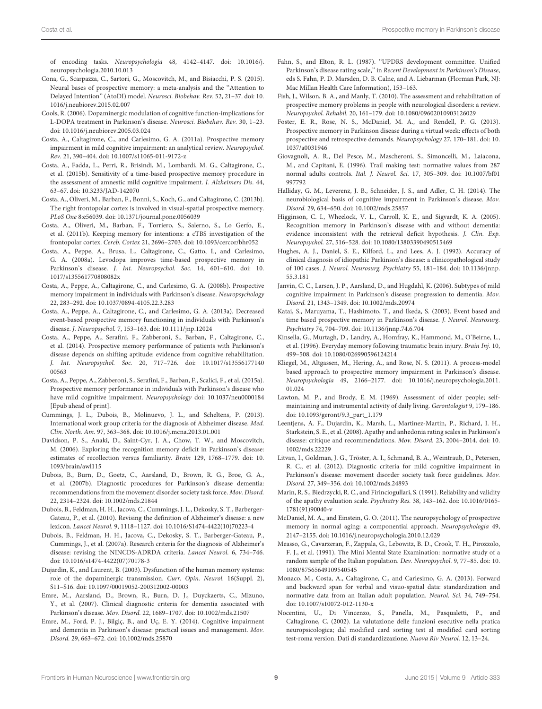of encoding tasks. Neuropsychologia 48, 4142–4147. doi: 10.1016/j. neuropsychologia.2010.10.013

- <span id="page-8-37"></span>Cona, G., Scarpazza, C., Sartori, G., Moscovitch, M., and Bisiacchi, P. S. (2015). Neural bases of prospective memory: a meta-analysis and the ''Attention to Delayed Intention'' (AtoDI) model. Neurosci. Biobehav. Rev. 52, 21–37. doi: 10. 1016/j.neubiorev.2015.02.007
- <span id="page-8-32"></span>Cools, R. (2006). Dopaminergic modulation of cognitive function-implications for L-DOPA treatment in Parkinson's disease. Neurosci. Biobehav. Rev. 30, 1–23. doi: 10.1016/j.neubiorev.2005.03.024
- <span id="page-8-33"></span>Costa, A., Caltagirone, C., and Carlesimo, G. A. (2011a). Prospective memory impairment in mild cognitive impairment: an analytical review. Neuropsychol. Rev. 21, 390–404. doi: 10.1007/s11065-011-9172-z
- <span id="page-8-23"></span>Costa, A., Fadda, L., Perri, R., Brisindi, M., Lombardi, M. G., Caltagirone, C., et al. (2015b). Sensitivity of a time-based prospective memory procedure in the assessment of amnestic mild cognitive impairment. J. Alzheimers Dis. 44, 63–67. doi: 10.3233/JAD-142070
- <span id="page-8-36"></span>Costa, A., Oliveri, M., Barban, F., Bonnì, S., Koch, G., and Caltagirone, C. (2013b). The right frontopolar cortex is involved in visual-spatial prospective memory. PLoS One 8:e56039. doi: 10.1371/journal.pone.0056039
- <span id="page-8-35"></span>Costa, A., Oliveri, M., Barban, F., Torriero, S., Salerno, S., Lo Gerfo, E., et al. (2011b). Keeping memory for intentions: a cTBS investigation of the frontopolar cortex. Cereb. Cortex 21, 2696–2703. doi: 10.1093/cercor/bhr052
- <span id="page-8-4"></span>Costa, A., Peppe, A., Brusa, L., Caltagirone, C., Gatto, I., and Carlesimo, G. A. (2008a). Levodopa improves time-based prospective memory in Parkinson's disease. J. Int. Neuropsychol. Soc. 14, 601–610. doi: 10. 1017/s135561770808082x
- <span id="page-8-24"></span>Costa, A., Peppe, A., Caltagirone, C., and Carlesimo, G. A. (2008b). Prospective memory impairment in individuals with Parkinson's disease. Neuropsychology 22, 283–292. doi: 10.1037/0894-4105.22.3.283
- <span id="page-8-1"></span>Costa, A., Peppe, A., Caltagirone, C., and Carlesimo, G. A. (2013a). Decreased event-based prospective memory functioning in individuals with Parkinson's disease. J. Neuropsychol. 7, 153–163. doi: 10.1111/jnp.12024
- <span id="page-8-3"></span>Costa, A., Peppe, A., Serafini, F., Zabberoni, S., Barban, F., Caltagirone, C., et al. (2014). Prospective memory performance of patients with Parkinson's disease depends on shifting aptitude: evidence from cognitive rehabilitation. J. Int. Neuropsychol. Soc. 20, 717–726. doi: 10.1017/s13556177140 00563
- <span id="page-8-5"></span>Costa, A., Peppe, A., Zabberoni, S., Serafini, F., Barban, F., Scalici, F., et al. (2015a). Prospective memory performance in individuals with Parkinson's disease who have mild cognitive impairment. Neuropsychology doi: 10.1037/neu0000184 [Epub ahead of print].
- <span id="page-8-8"></span>Cummings, J. L., Dubois, B., Molinuevo, J. L., and Scheltens, P. (2013). International work group criteria for the diagnosis of Alzheimer disease. Med. Clin. North. Am. 97, 363–368. doi: 10.1016/j.mcna.2013.01.001
- <span id="page-8-30"></span>Davidson, P. S., Anaki, D., Saint-Cyr, J. A., Chow, T. W., and Moscovitch, M. (2006). Exploring the recognition memory deficit in Parkinson's disease: estimates of recollection versus familiarity. Brain 129, 1768–1779. doi: 10. 1093/brain/awl115
- <span id="page-8-13"></span>Dubois, B., Burn, D., Goetz, C., Aarsland, D., Brown, R. G., Broe, G. A., et al. (2007b). Diagnostic procedures for Parkinson's disease dementia: recommendations from the movement disorder society task force. Mov. Disord. 22, 2314–2324. doi: 10.1002/mds.21844
- <span id="page-8-7"></span>Dubois, B., Feldman, H. H., Jacova, C., Cummings, J. L., Dekosky, S. T., Barberger-Gateau, P., et al. (2010). Revising the definition of Alzheimer's disease: a new lexicon. Lancet Neurol. 9, 1118–1127. doi: 10.1016/S1474-4422(10)70223-4
- <span id="page-8-6"></span>Dubois, B., Feldman, H. H., Jacova, C., Dekosky, S. T., Barberger-Gateau, P., Cummings, J., et al. (2007a). Research criteria for the diagnosis of Alzheimer's disease: revising the NINCDS-ADRDA criteria. Lancet Neurol. 6, 734–746. doi: 10.1016/s1474-4422(07)70178-3
- <span id="page-8-31"></span>Dujardin, K., and Laurent, B. (2003). Dysfunction of the human memory systems: role of the dopaminergic transmission. Curr. Opin. Neurol. 16(Suppl. 2), S11–S16. doi: 10.1097/00019052-200312002-00003
- <span id="page-8-28"></span>Emre, M., Aarsland, D., Brown, R., Burn, D. J., Duyckaerts, C., Mizuno, Y., et al. (2007). Clinical diagnostic criteria for dementia associated with Parkinson's disease. Mov. Disord. 22, 1689–1707. doi: 10.1002/mds.21507
- <span id="page-8-27"></span>Emre, M., Ford, P. J., Bilgiç, B., and Uç, E. Y. (2014). Cognitive impairment and dementia in Parkinson's disease: practical issues and management. Mov. Disord. 29, 663–672. doi: 10.1002/mds.25870
- <span id="page-8-15"></span>Fahn, S., and Elton, R. L. (1987). "UPDRS development committee. Unified Parkinson's disease rating scale,'' in Recent Development in Parkinson's Disease, eds S. Fahn, P. D. Marsden, D. B. Calne, and A. Liebarman (Florman Park, NJ: Mac Millan Health Care Information), 153–163.
- <span id="page-8-12"></span>Fish, J., Wilson, B. A., and Manly, T. (2010). The assessment and rehabilitation of prospective memory problems in people with neurological disorders: a review. Neuropsychol. Rehabil. 20, 161–179. doi: 10.1080/09602010903126029
- <span id="page-8-2"></span>Foster, E. R., Rose, N. S., McDaniel, M. A., and Rendell, P. G. (2013). Prospective memory in Parkinson disease during a virtual week: effects of both prospective and retrospective demands. Neuropsychology 27, 170–181. doi: 10. 1037/a0031946
- <span id="page-8-19"></span>Giovagnoli, A. R., Del Pesce, M., Mascheroni, S., Simoncelli, M., Laiacona, M., and Capitani, E. (1996). Trail making test: normative values from 287 normal adults controls. Ital. J. Neurol. Sci. 17, 305–309. doi: 10.1007/bf01 997792
- <span id="page-8-10"></span>Halliday, G. M., Leverenz, J. B., Schneider, J. S., and Adler, C. H. (2014). The neurobiological basis of cognitive impairment in Parkinson's disease. Mov. Disord. 29, 634–650. doi: 10.1002/mds.25857
- <span id="page-8-29"></span>Higginson, C. I., Wheelock, V. L., Carroll, K. E., and Sigvardt, K. A. (2005). Recognition memory in Parkinson's disease with and without dementia: evidence inconsistent with the retrieval deficit hypothesis. J. Clin. Exp. Neuropsychol. 27, 516–528. doi: 10.1080/13803390490515469
- <span id="page-8-14"></span>Hughes, A. J., Daniel, S. E., Kilford, L., and Lees, A. J. (1992). Accuracy of clinical diagnosis of idiopathic Parkinson's disease: a clinicopathological study of 100 cases. J. Neurol. Neurosurg. Psychiatry 55, 181–184. doi: 10.1136/jnnp. 55.3.181
- <span id="page-8-26"></span>Janvin, C. C., Larsen, J. P., Aarsland, D., and Hugdahl, K. (2006). Subtypes of mild cognitive impairment in Parkinson's disease: progression to dementia. Mov. Disord. 21, 1343–1349. doi: 10.1002/mds.20974
- <span id="page-8-25"></span>Katai, S., Maruyama, T., Hashimoto, T., and Ikeda, S. (2003). Event based and time based prospective memory in Parkinson's disease. J. Neurol. Neurosurg. Psychiatry 74, 704–709. doi: 10.1136/jnnp.74.6.704
- <span id="page-8-11"></span>Kinsella, G., Murtagh, D., Landry, A., Homfray, K., Hammond, M., O'Beirne, L., et al. (1996). Everyday memory following traumatic brain injury. Brain Inj. 10, 499–508. doi: 10.1080/026990596124214
- <span id="page-8-0"></span>Kliegel, M., Altgassen, M., Hering, A., and Rose, N. S. (2011). A process-model based approach to prospective memory impairment in Parkinson's disease. Neuropsychologia 49, 2166–2177. doi: 10.1016/j.neuropsychologia.2011. 01.024
- <span id="page-8-16"></span>Lawton, M. P., and Brody, E. M. (1969). Assessment of older people; selfmaintaining and instrumental activity of daily living. Gerontologist 9, 179–186. doi: 10.1093/geront/9.3\_part\_1.179
- <span id="page-8-22"></span>Leentjens, A. F., Dujardin, K., Marsh, L., Martinez-Martin, P., Richard, I. H., Starkstein, S. E., et al. (2008). Apathy and anhedonia rating scales in Parkinson's disease: critique and recommendations. Mov. Disord. 23, 2004–2014. doi: 10. 1002/mds.22229
- <span id="page-8-9"></span>Litvan, I., Goldman, J. G., Tröster, A. I., Schmand, B. A., Weintraub, D., Petersen, R. C., et al. (2012). Diagnostic criteria for mild cognitive impairment in Parkinson's disease: movement disorder society task force guidelines. Mov. Disord. 27, 349–356. doi: 10.1002/mds.24893
- <span id="page-8-21"></span>Marin, R. S., Biedrzycki, R. C., and Firinciogullari, S. (1991). Reliability and validity of the apathy evaluation scale. Psychiatry Res. 38, 143–162. doi: 10.1016/0165- 1781(91)90040-v
- <span id="page-8-34"></span>McDaniel, M. A., and Einstein, G. O. (2011). The neuropsychology of prospective memory in normal aging: a componential approach. Neuropsychologia 49, 2147–2155. doi: 10.1016/j.neuropsychologia.2010.12.029
- <span id="page-8-17"></span>Measso, G., Cavarzeran, F., Zappala, G., Lebowitz, B. D., Crook, T. H., Pirozzolo, F. J., et al. (1991). The Mini Mental State Examination: normative study of a random sample of the Italian population. Dev. Neuropsychol. 9, 77–85. doi: 10. 1080/87565649109540545
- <span id="page-8-18"></span>Monaco, M., Costa, A., Caltagirone, C., and Carlesimo, G. A. (2013). Forward and backward span for verbal and visuo-spatial data: standardization and normative data from an Italian adult population. Neurol. Sci. 34, 749–754. doi: 10.1007/s10072-012-1130-x
- <span id="page-8-20"></span>Nocentini, U., Di Vincenzo, S., Panella, M., Pasqualetti, P., and Caltagirone, C. (2002). La valutazione delle funzioni esecutive nella pratica neuropsicologica; dal modified card sorting test al modified card sorting test-roma version. Dati di standardizzazione. Nuova Riv Neurol. 12, 13–24.